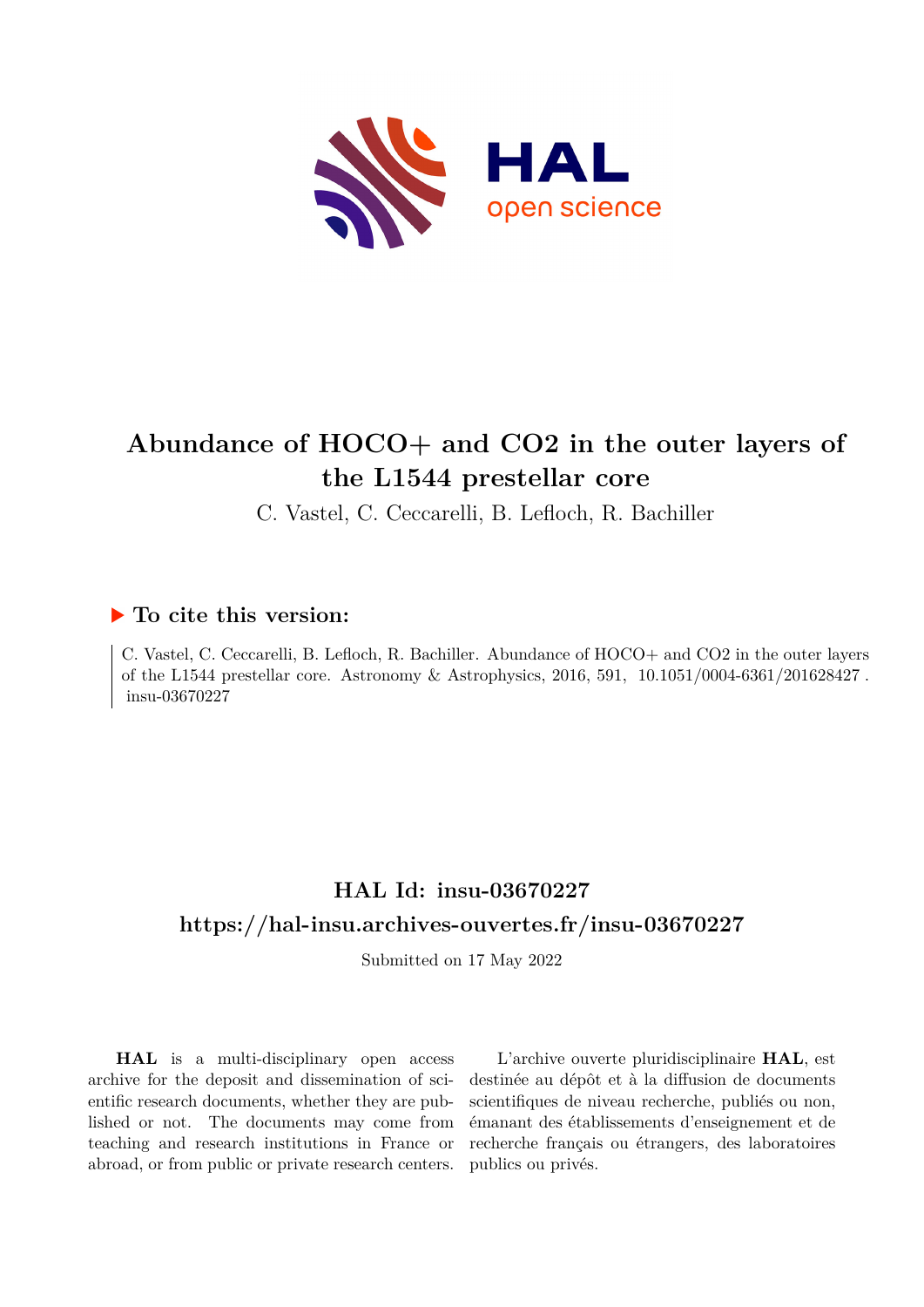

# **Abundance of HOCO+ and CO2 in the outer layers of the L1544 prestellar core**

C. Vastel, C. Ceccarelli, B. Lefloch, R. Bachiller

# **To cite this version:**

C. Vastel, C. Ceccarelli, B. Lefloch, R. Bachiller. Abundance of HOCO+ and CO2 in the outer layers of the L1544 prestellar core. Astronomy  $\&$  Astrophysics, 2016, 591, 10.1051/0004-6361/201628427. insu-03670227

# **HAL Id: insu-03670227 <https://hal-insu.archives-ouvertes.fr/insu-03670227>**

Submitted on 17 May 2022

**HAL** is a multi-disciplinary open access archive for the deposit and dissemination of scientific research documents, whether they are published or not. The documents may come from teaching and research institutions in France or abroad, or from public or private research centers.

L'archive ouverte pluridisciplinaire **HAL**, est destinée au dépôt et à la diffusion de documents scientifiques de niveau recherche, publiés ou non, émanant des établissements d'enseignement et de recherche français ou étrangers, des laboratoires publics ou privés.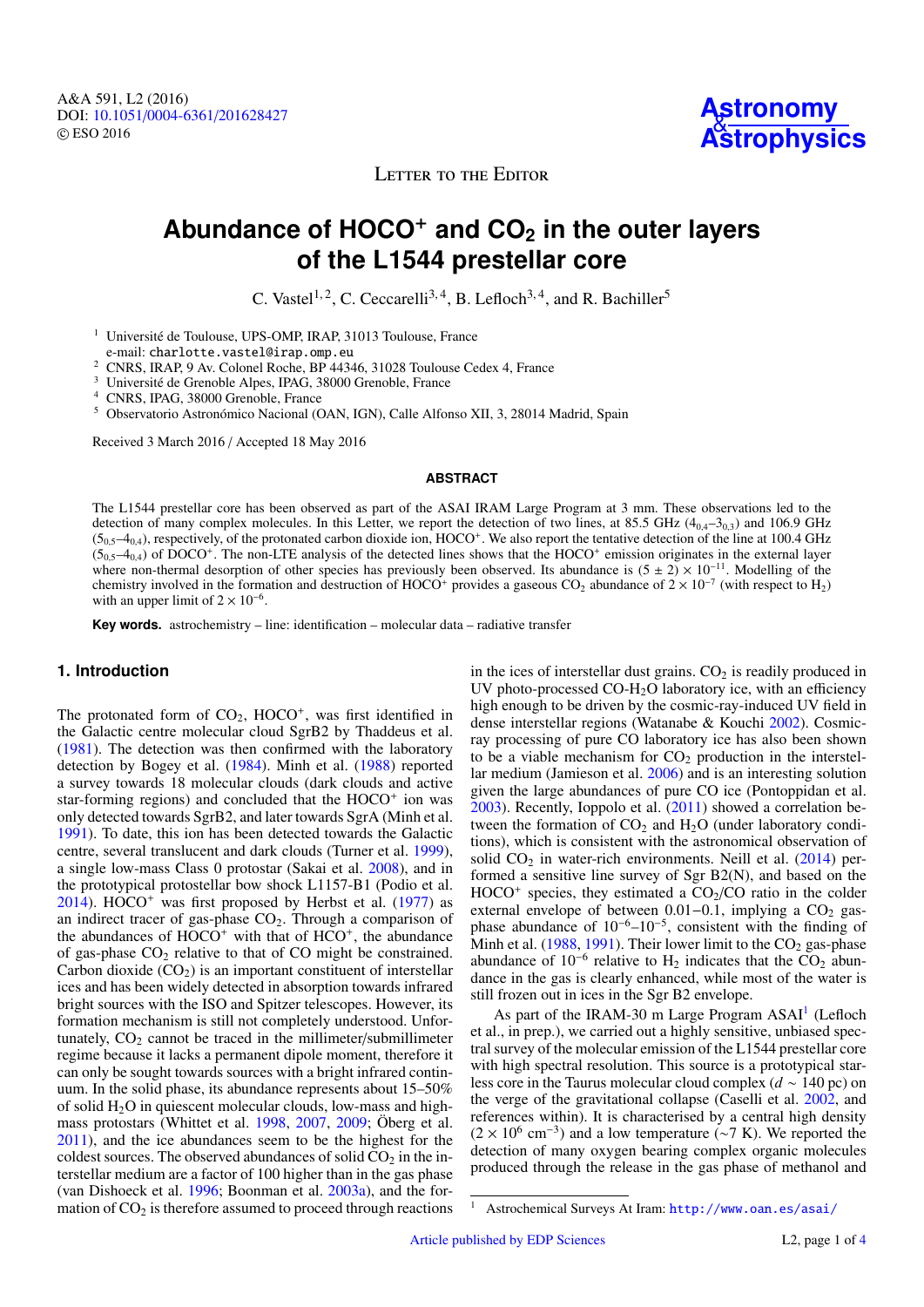LETTER TO THE EDITOR

# **Abundance of HOCO**<sup>+</sup> **and CO<sup>2</sup> in the outer layers of the L1544 prestellar core**

C. Vastel<sup>1, 2</sup>, C. Ceccarelli<sup>3, 4</sup>, B. Lefloch<sup>3, 4</sup>, and R. Bachiller<sup>5</sup>

<sup>1</sup> Université de Toulouse, UPS-OMP, IRAP, 31013 Toulouse, France

e-mail: charlotte.vastel@irap.omp.eu

<sup>2</sup> CNRS, IRAP, 9 Av. Colonel Roche, BP 44346, 31028 Toulouse Cedex 4, France

<sup>3</sup> Université de Grenoble Alpes, IPAG, 38000 Grenoble, France

<sup>4</sup> CNRS, IPAG, 38000 Grenoble, France

<sup>5</sup> Observatorio Astronómico Nacional (OAN, IGN), Calle Alfonso XII, 3, 28014 Madrid, Spain

Received 3 March 2016 / Accepted 18 May 2016

#### **ABSTRACT**

The L1544 prestellar core has been observed as part of the ASAI IRAM Large Program at 3 mm. These observations led to the detection of many complex molecules. In this Letter, we report the detection of two lines, at 85.5 GHz  $(4_{0.4}-3_{0.3})$  and 106.9 GHz  $(5_{0,5}-4_{0,4})$ , respectively, of the protonated carbon dioxide ion, HOCO<sup>+</sup>. We also report the tentative detection of the line at 100.4 GHz  $(5_{0,5}-4_{0,4})$  of DOCO<sup>+</sup>. The non-LTE analysis of the detected lines shows that the HOCO<sup>+</sup> emission originates in the external layer where non-thermal desorption of other species has previously been observed. Its abundance is  $(5 \pm 2) \times 10^{-11}$ . Modelling of the chemistry involved in the formation and destruction of HOCO<sup>+</sup> provides a gaseous CO<sub>2</sub> abundance of  $2 \times 10^{-7}$  (with respect to H<sub>2</sub>) with an upper limit of  $2 \times 10^{-6}$ .

**Key words.** astrochemistry – line: identification – molecular data – radiative transfer

# **1. Introduction**

The protonated form of  $CO<sub>2</sub>$ , HOCO<sup>+</sup>, was first identified in the Galactic centre molecular cloud SgrB2 by Thaddeus et al. (1981). The detection was then confirmed with the laboratory detection by Bogey et al. (1984). Minh et al. (1988) reported a survey towards 18 molecular clouds (dark clouds and active star-forming regions) and concluded that the HOCO<sup>+</sup> ion was only detected towards SgrB2, and later towards SgrA (Minh et al. 1991). To date, this ion has been detected towards the Galactic centre, several translucent and dark clouds (Turner et al. 1999), a single low-mass Class 0 protostar (Sakai et al. 2008), and in the prototypical protostellar bow shock L1157-B1 (Podio et al.  $2014$ ). HOCO<sup>+</sup> was first proposed by Herbst et al. (1977) as an indirect tracer of gas-phase  $CO<sub>2</sub>$ . Through a comparison of the abundances of  $HOCO<sup>+</sup>$  with that of  $HCO<sup>+</sup>$ , the abundance of gas-phase  $CO<sub>2</sub>$  relative to that of CO might be constrained. Carbon dioxide  $(CO_2)$  is an important constituent of interstellar ices and has been widely detected in absorption towards infrared bright sources with the ISO and Spitzer telescopes. However, its formation mechanism is still not completely understood. Unfortunately,  $CO<sub>2</sub>$  cannot be traced in the millimeter/submillimeter regime because it lacks a permanent dipole moment, therefore it can only be sought towards sources with a bright infrared continuum. In the solid phase, its abundance represents about 15–50% of solid  $H_2O$  in quiescent molecular clouds, low-mass and highmass protostars (Whittet et al. 1998, 2007, 2009; Öberg et al. 2011), and the ice abundances seem to be the highest for the coldest sources. The observed abundances of solid  $CO<sub>2</sub>$  in the interstellar medium are a factor of 100 higher than in the gas phase (van Dishoeck et al. 1996; Boonman et al. 2003a), and the formation of  $CO<sub>2</sub>$  is therefore assumed to proceed through reactions

in the ices of interstellar dust grains.  $CO<sub>2</sub>$  is readily produced in UV photo-processed CO-H<sub>2</sub>O laboratory ice, with an efficiency high enough to be driven by the cosmic-ray-induced UV field in dense interstellar regions (Watanabe & Kouchi 2002). Cosmicray processing of pure CO laboratory ice has also been shown to be a viable mechanism for  $CO<sub>2</sub>$  production in the interstellar medium (Jamieson et al. 2006) and is an interesting solution given the large abundances of pure CO ice (Pontoppidan et al. 2003). Recently, Ioppolo et al. (2011) showed a correlation between the formation of  $CO<sub>2</sub>$  and  $H<sub>2</sub>O$  (under laboratory conditions), which is consistent with the astronomical observation of solid  $CO<sub>2</sub>$  in water-rich environments. Neill et al. (2014) performed a sensitive line survey of Sgr B2(N), and based on the  $HOCO<sup>+</sup>$  species, they estimated a  $CO<sub>2</sub>/CO$  ratio in the colder external envelope of between  $0.01-0.1$ , implying a CO<sub>2</sub> gasphase abundance of 10<sup>−</sup><sup>6</sup>–10<sup>−</sup><sup>5</sup> , consistent with the finding of Minh et al. (1988, 1991). Their lower limit to the  $CO<sub>2</sub>$  gas-phase abundance of  $10^{-6}$  relative to H<sub>2</sub> indicates that the CO<sub>2</sub> abundance in the gas is clearly enhanced, while most of the water is still frozen out in ices in the Sgr B2 envelope.

As part of the IRAM-30 m Large Program ASAI<sup>1</sup> (Lefloch et al., in prep.), we carried out a highly sensitive, unbiased spectral survey of the molecular emission of the L1544 prestellar core with high spectral resolution. This source is a prototypical starless core in the Taurus molecular cloud complex (*d* ∼ 140 pc) on the verge of the gravitational collapse (Caselli et al. 2002, and references within). It is characterised by a central high density  $(2 \times 10^6 \text{ cm}^{-3})$  and a low temperature (~7 K). We reported the detection of many oxygen bearing complex organic molecules produced through the release in the gas phase of methanol and

<sup>1</sup> Astrochemical Surveys At Iram: <http://www.oan.es/asai/>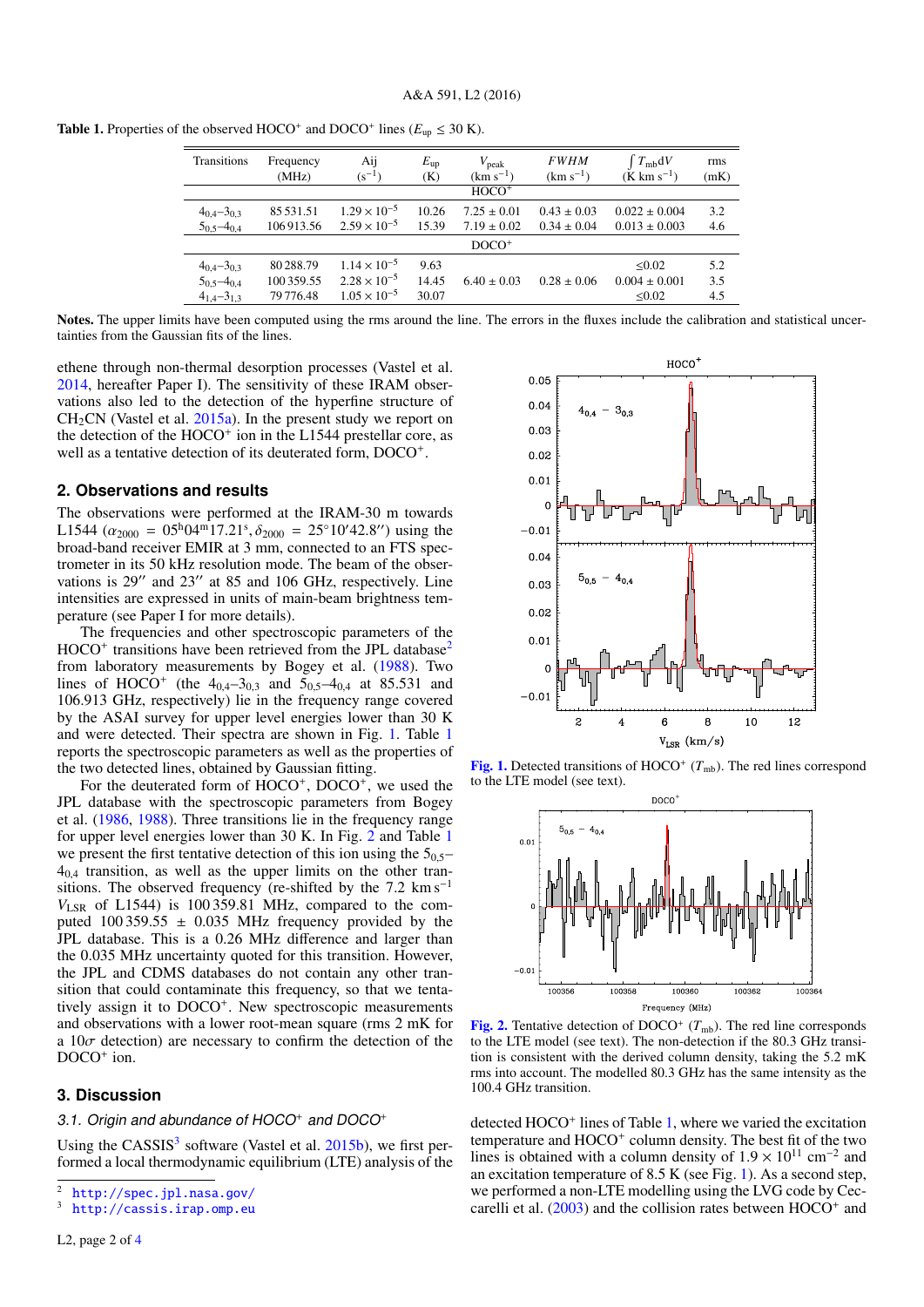**Table 1.** Properties of the observed HOCO<sup>+</sup> and DOCO<sup>+</sup> lines ( $E_{\text{up}} \leq 30 \text{ K}$ ).

| Transitions         | Frequency<br>(MHz) | Aij<br>$(s^{-1})$     | $E_{\rm up}$<br>(K) | $V_{\rm peak}$<br>$(km s^{-1})$ | <b>FWHM</b><br>$(km s^{-1})$ | $T_{mb}dV$<br>$(K \text{ km s}^{-1})$ | rms<br>(mK) |
|---------------------|--------------------|-----------------------|---------------------|---------------------------------|------------------------------|---------------------------------------|-------------|
|                     |                    |                       |                     | $HOCO+$                         |                              |                                       |             |
| $4_{0,4} - 3_{0,3}$ | 85 531.51          | $1.29 \times 10^{-5}$ | 10.26               | $7.25 \pm 0.01$                 | $0.43 \pm 0.03$              | $0.022 \pm 0.004$                     | 3.2         |
| $5_{0,5} - 4_{0,4}$ | 106913.56          | $2.59 \times 10^{-5}$ | 15.39               | $7.19 \pm 0.02$                 | $0.34 \pm 0.04$              | $0.013 \pm 0.003$                     | 4.6         |
|                     |                    |                       |                     | $DOCO+$                         |                              |                                       |             |
| $4_{0,4} - 3_{0,3}$ | 80288.79           | $1.14 \times 10^{-5}$ | 9.63                |                                 |                              | < 0.02                                | 5.2         |
| $5_{0.5} - 4_{0.4}$ | 100 359.55         | $2.28 \times 10^{-5}$ | 14.45               | $6.40 \pm 0.03$                 | $0.28 \pm 0.06$              | $0.004 \pm 0.001$                     | 3.5         |
| $4_{1,4} - 3_{1,3}$ | 79 776.48          | $1.05 \times 10^{-5}$ | 30.07               |                                 |                              | $\leq 0.02$                           | 4.5         |
|                     |                    |                       |                     |                                 |                              |                                       |             |

Notes. The upper limits have been computed using the rms around the line. The errors in the fluxes include the calibration and statistical uncertainties from the Gaussian fits of the lines.

ethene through non-thermal desorption processes (Vastel et al. 2014, hereafter Paper I). The sensitivity of these IRAM observations also led to the detection of the hyperfine structure of  $CH<sub>2</sub>CN$  (Vastel et al.  $2015a$ ). In the present study we report on the detection of the HOCO<sup>+</sup> ion in the L1544 prestellar core, as well as a tentative detection of its deuterated form, DOCO<sup>+</sup>.

#### **2. Observations and results**

The observations were performed at the IRAM-30 m towards L1544  $(\alpha_{2000} = 0.05^{\text{h}}04^{\text{m}}17.21^{\text{s}}$ ,  $\delta_{2000} = 25^{\circ}10'42.8'')$  using the broad-band receiver EMIR at 3 mm connected to an ETS specbroad-band receiver EMIR at 3 mm, connected to an FTS spectrometer in its 50 kHz resolution mode. The beam of the observations is  $29''$  and  $23''$  at 85 and 106 GHz, respectively. Line intensities are expressed in units of main-beam brightness temperature (see Paper I for more details).

The frequencies and other spectroscopic parameters of the HOCO<sup>+</sup> transitions have been retrieved from the JPL database<sup>2</sup> from laboratory measurements by Bogey et al. (1988). Two lines of HOCO<sup>+</sup> (the  $4_{0,4}$ – $3_{0,3}$  and  $5_{0,5}$ – $4_{0,4}$  at 85.531 and 106.013 GHz respectively) lie in the frequency range covered 106.913 GHz, respectively) lie in the frequency range covered by the ASAI survey for upper level energies lower than 30 K and were detected. Their spectra are shown in Fig. 1. Table 1 reports the spectroscopic parameters as well as the properties of the two detected lines, obtained by Gaussian fitting.

For the deuterated form of HOCO<sup>+</sup>, DOCO<sup>+</sup>, we used the JPL database with the spectroscopic parameters from Bogey et al. (1986, 1988). Three transitions lie in the frequency range for upper level energies lower than 30 K. In Fig. 2 and Table 1 we present the first tentative detection of this ion using the  $5<sub>0.5</sub>$  $4<sub>0.4</sub>$  transition, as well as the upper limits on the other transitions. The observed frequency (re-shifted by the  $7.2 \text{ km s}^{-1}$ *V*LSR of L1544) is 100 359.81 MHz, compared to the computed  $100\,359.55 \pm 0.035$  MHz frequency provided by the JPL database. This is a 0.26 MHz difference and larger than the 0.035 MHz uncertainty quoted for this transition. However, the JPL and CDMS databases do not contain any other transition that could contaminate this frequency, so that we tentatively assign it to DOCO<sup>+</sup>. New spectroscopic measurements and observations with a lower root-mean square (rms 2 mK for a  $10\sigma$  detection) are necessary to confirm the detection of the DOCO<sup>+</sup> ion.

### **3. Discussion**

### 3.1. Origin and abundance of  $HOCO<sup>+</sup>$  and  $DOCO<sup>+</sup>$

Using the CASSIS<sup>3</sup> software (Vastel et al. 2015b), we first performed a local thermodynamic equilibrium (LTE) analysis of the



[Fig. 1.](http://dexter.edpsciences.org/applet.php?DOI=10.1051/0004-6361/201628427&pdf_id=1) Detected transitions of HOCO<sup>+</sup>  $(T_{mb})$ . The red lines correspond to the LTE model (see text).



[Fig. 2.](http://dexter.edpsciences.org/applet.php?DOI=10.1051/0004-6361/201628427&pdf_id=2) Tentative detection of DOCO<sup>+</sup>  $(T_{\text{mb}})$ . The red line corresponds to the LTE model (see text). The non-detection if the 80.3 GHz transition is consistent with the derived column density, taking the 5.2 mK rms into account. The modelled 80.3 GHz has the same intensity as the 100.4 GHz transition.

detected HOCO<sup>+</sup> lines of Table 1, where we varied the excitation temperature and HOCO<sup>+</sup> column density. The best fit of the two lines is obtained with a column density of  $1.9 \times 10^{11}$  cm<sup>-2</sup> and an excitation temperature of 8.5 K (see Fig. 1). As a second step an excitation temperature of 8.5 K (see Fig. 1). As a second step, we performed a non-LTE modelling using the LVG code by Ceccarelli et al.  $(2003)$  and the collision rates between  $HOCO<sup>+</sup>$  and

<sup>2</sup> <http://spec.jpl.nasa.gov/>

<http://cassis.irap.omp.eu>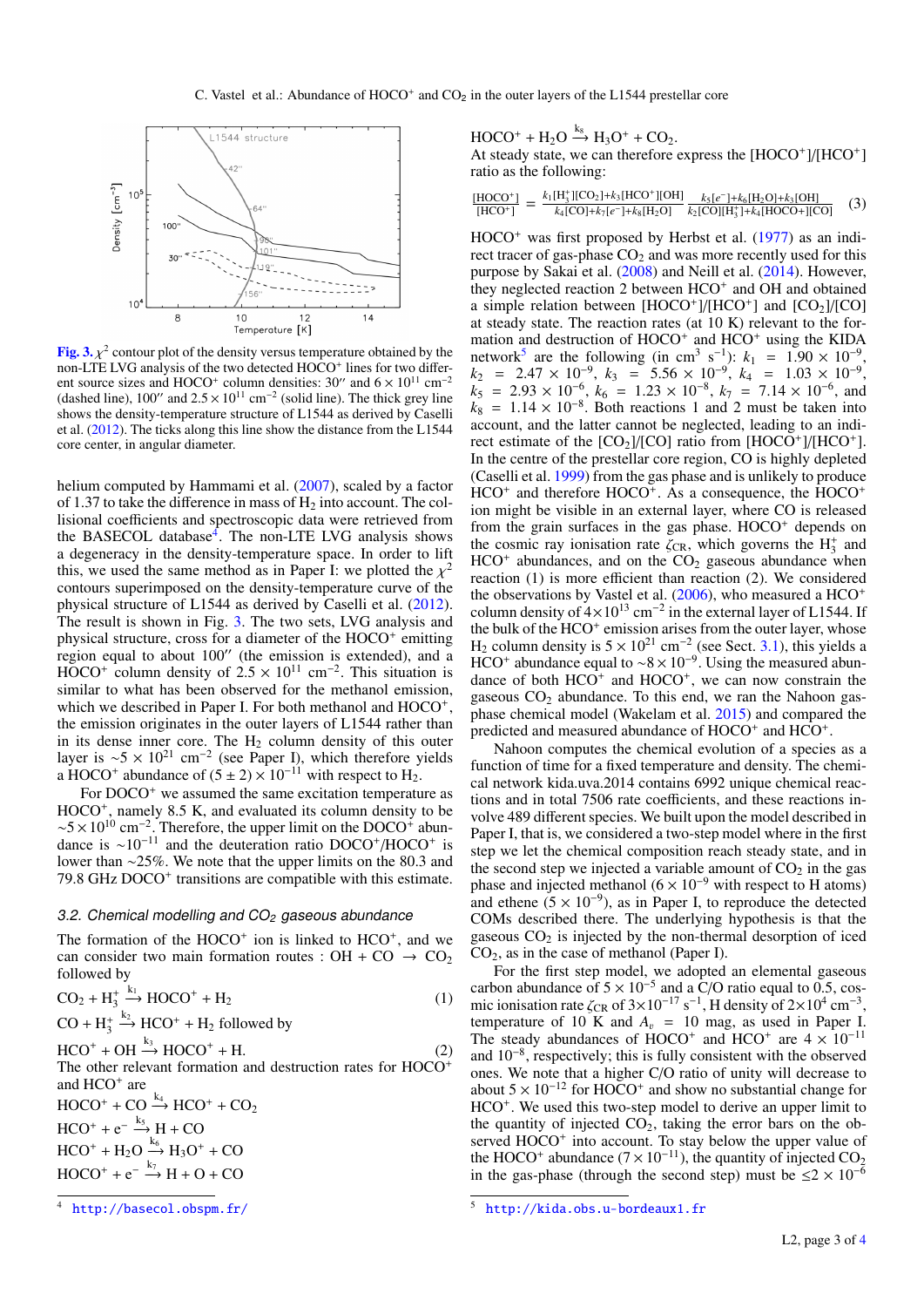

**[Fig. 3.](http://dexter.edpsciences.org/applet.php?DOI=10.1051/0004-6361/201628427&pdf_id=3)**  $\chi^2$  contour plot of the density versus temperature obtained by the non-LTE LVG analysis of the two detected HOCO<sup>+</sup> lines for two differ-<sup>2</sup> contour plot of the density versus temperature obtained by the ent source sizes and HOCO<sup>+</sup> column densities:  $30''$  and  $6 \times 10^{11}$  cm<sup>-2</sup> (dashed line), 100" and  $2.5 \times 10^{11}$  cm<sup>-2</sup> (solid line). The thick grey line<br>shows the density-temperature structure of L1544 as derived by Caselli shows the density-temperature structure of L1544 as derived by Caselli et al. (2012). The ticks along this line show the distance from the L1544 core center, in angular diameter.

helium computed by Hammami et al. (2007), scaled by a factor of 1.37 to take the difference in mass of  $H_2$  into account. The collisional coefficients and spectroscopic data were retrieved from the BASECOL database<sup>4</sup>. The non-LTE LVG analysis shows a degeneracy in the density-temperature space. In order to lift this, we used the same method as in Paper I: we plotted the  $\chi^2$  contours superimposed on the density-temperature curve of the contours superimposed on the density-temperature curve of the physical structure of L1544 as derived by Caselli et al. (2012). The result is shown in Fig. 3. The two sets, LVG analysis and physical structure, cross for a diameter of the HOCO<sup>+</sup> emitting region equal to about  $100^{\prime\prime}$  (the emission is extended), and a  $\text{HOCO}^+$  column density of  $2.5 \times 10^{11} \text{ cm}^{-2}$ . This situation is similar to what has been observed for the methanol emission similar to what has been observed for the methanol emission, which we described in Paper I. For both methanol and HOCO<sup>+</sup>, the emission originates in the outer layers of L1544 rather than in its dense inner core. The  $H_2$  column density of this outer layer is  $\sim$ 5 × 10<sup>21</sup> cm<sup>-2</sup> (see Paper I), which therefore yields a HOCO<sup>+</sup> abundance of  $(5 \pm 2) \times 10^{-11}$  with respect to H<sub>2</sub>.

For DOCO<sup>+</sup> we assumed the same excitation temperature as HOCO<sup>+</sup>, namely 8.5 K, and evaluated its column density to be  $\sim$ 5 × 10<sup>10</sup> cm<sup>-2</sup>. Therefore, the upper limit on the DOCO<sup>+</sup> abundance is  $\sim 10^{-11}$  and the deuteration ratio DOCO<sup>+</sup>/HOCO<sup>+</sup> is lower than ∼25%. We note that the upper limits on the 80.3 and 79.8 GHz DOCO<sup>+</sup> transitions are compatible with this estimate.

### 3.2. Chemical modelling and  $CO<sub>2</sub>$  gaseous abundance

The formation of the  $HOCO<sup>+</sup>$  ion is linked to  $HCO<sup>+</sup>$ , and we can consider two main formation routes : OH + CO  $\rightarrow$  CO<sub>2</sub> followed by

$$
CO2 + H3+ \xrightarrow{k_1} HOCO+ + H2
$$
  
CO + H<sub>3</sub><sup>+</sup> \xrightarrow{k\_2} HCO<sup>+</sup> + H<sub>2</sub> followed by (1)

 $HCO^+ + OH \stackrel{k_3}{\rightharpoonup}$ 

 $HCO^+ + OH \xrightarrow{k_3} HOCO^+ + H.$  (2)<br>The other relevant formation and destruction rates for  $HOCO^+$ and HCO<sup>+</sup> are  $HOCO^+ + CO \xrightarrow{k_4} HCO^+ + CO_2$  $HCO^+ + e^- \xrightarrow{k_5} H + CO$ 

 $HCO^+ + H_2O \xrightarrow{k_6} H_3O^+ + CO$ 

 $HOCO^+ + e^- \xrightarrow{k_7} H + O + CO$ 

 $HOCO^+ + H_2O \xrightarrow{k_8} H_3O^+ + CO_2.$ 

At steady state, we can therefore express the [HOCO+]/[HCO+] ratio as the following:

$$
\frac{[HOCO^+]}{[HCO^+]} = \frac{k_1[H_3^+][CO_2]+k_3[HCO^+][OH]}{k_4[CO]+k_7[e^-]+k_8[H_2O]} \frac{k_5[e^-]+k_6[H_2O]+k_3[OH]}{k_2[CO][H_3^+]+k_4[HOCO+][CO]} \tag{3}
$$

 $HOCO<sup>+</sup>$  was first proposed by Herbst et al. (1977) as an indirect tracer of gas-phase  $CO<sub>2</sub>$  and was more recently used for this purpose by Sakai et al. (2008) and Neill et al. (2014). However, they neglected reaction 2 between HCO<sup>+</sup> and OH and obtained a simple relation between  $[HOCO^+]/[HCO^+]$  and  $[CO_2]/[CO]$ at steady state. The reaction rates (at 10 K) relevant to the formation and destruction of HOCO<sup>+</sup> and HCO<sup>+</sup> using the KIDA network<sup>5</sup> are the following (in cm<sup>3</sup> s<sup>-1</sup>):  $k_1 = 1.90 \times 10^{-9}$ ,<br> $k_2 = 2.47 \times 10^{-9}$ ,  $k_3 = 5.56 \times 10^{-9}$ ,  $k_4 = 1.03 \times 10^{-9}$  $k_2$  = 2.47 × 10<sup>-9</sup>,  $k_3$  = 5.56 × 10<sup>-9</sup>,  $k_4$  = 1.03 × 10<sup>-9</sup>,<br>  $k_5$  = 2.93 × 10<sup>-6</sup>  $k_6$  = 1.23 × 10<sup>-8</sup>  $k_7$  = 7.14 × 10<sup>-6</sup> and  $k_5 = 2.93 \times 10^{-6}$ ,  $k_6 = 1.23 \times 10^{-8}$ ,  $k_7 = 7.14 \times 10^{-6}$ , and  $k_6 = 1.14 \times 10^{-8}$ . Both reactions 1 and 2 must be taken into  $k_8 = 1.14 \times 10^{-8}$ . Both reactions 1 and 2 must be taken into account and the latter cannot be neglected leading to an indiaccount, and the latter cannot be neglected, leading to an indirect estimate of the  $[CO_2]/[CO]$  ratio from  $[HOCO^+]/[HCO^+]$ . In the centre of the prestellar core region, CO is highly depleted (Caselli et al. 1999) from the gas phase and is unlikely to produce  $HCO<sup>+</sup>$  and therefore  $HOCO<sup>+</sup>$ . As a consequence, the  $HOCO<sup>+</sup>$ ion might be visible in an external layer, where CO is released from the grain surfaces in the gas phase.  $HOCO<sup>+</sup>$  depends on the cosmic ray ionisation rate  $\zeta_{CR}$ , which governs the  $H_3^+$  and  $HCO^+$  abundances and on the CO<sub>2</sub> gaseous abundance when  $HCO<sup>+</sup>$  abundances, and on the  $CO<sub>2</sub>$  gaseous abundance when reaction (1) is more efficient than reaction (2). We considered the observations by Vastel et al.  $(2006)$ , who measured a HCO<sup>+</sup> column density of  $4 \times 10^{13}$  cm<sup>-2</sup> in the external layer of L1544. If the bulk of the HCO<sup>+</sup> emission arises from the outer layer, whose H<sub>2</sub> column density is  $5 \times 10^{21}$  cm<sup>-2</sup> (see Sect. 3.1), this yields a HCO<sup>+</sup> abundance equal to ~8 × 10<sup>-9</sup>. Using the measured abundance of both  $HCO<sup>+</sup>$  and  $HOCO<sup>+</sup>$ , we can now constrain the gaseous  $CO<sub>2</sub>$  abundance. To this end, we ran the Nahoon gasphase chemical model (Wakelam et al. 2015) and compared the predicted and measured abundance of  $HOCO<sup>+</sup>$  and  $HCO<sup>+</sup>$ .

Nahoon computes the chemical evolution of a species as a function of time for a fixed temperature and density. The chemical network kida.uva.2014 contains 6992 unique chemical reactions and in total 7506 rate coefficients, and these reactions involve 489 different species. We built upon the model described in Paper I, that is, we considered a two-step model where in the first step we let the chemical composition reach steady state, and in the second step we injected a variable amount of  $CO<sub>2</sub>$  in the gas phase and injected methanol ( $6 \times 10^{-9}$  with respect to H atoms) and ethene ( $5 \times 10^{-9}$ ), as in Paper I, to reproduce the detected COMs described there. The underlying hypothesis is that the gaseous  $CO<sub>2</sub>$  is injected by the non-thermal desorption of iced CO2, as in the case of methanol (Paper I).

For the first step model, we adopted an elemental gaseous carbon abundance of  $5 \times 10^{-5}$  and a C/O ratio equal to 0.5, cosmic ionisation rate  $\zeta_{CR}$  of 3×10<sup>-17</sup> s<sup>-1</sup>, H density of 2×10<sup>4</sup> cm<sup>-3</sup>,<br>temperature of 10 K and A<sub>n</sub> = 10 mag as used in Paper I temperature of 10 K and  $A_v = 10$  mag, as used in Paper I. The steady abundances of HOCO<sup>+</sup> and HCO<sup>+</sup> are  $4 \times 10^{-11}$ and 10<sup>−</sup><sup>8</sup> , respectively; this is fully consistent with the observed ones. We note that a higher C/O ratio of unity will decrease to about  $5 \times 10^{-12}$  for HOCO<sup>+</sup> and show no substantial change for HCO<sup>+</sup>. We used this two-step model to derive an upper limit to the quantity of injected  $CO<sub>2</sub>$ , taking the error bars on the observed HOCO<sup>+</sup> into account. To stay below the upper value of the HOCO<sup>+</sup> abundance ( $7 \times 10^{-11}$ ), the quantity of injected CO<sub>2</sub> in the gas-phase (through the second step) must be  $\leq 2 \times 10^{-6}$ 

<http://basecol.obspm.fr/>

<sup>5</sup> <http://kida.obs.u-bordeaux1.fr>